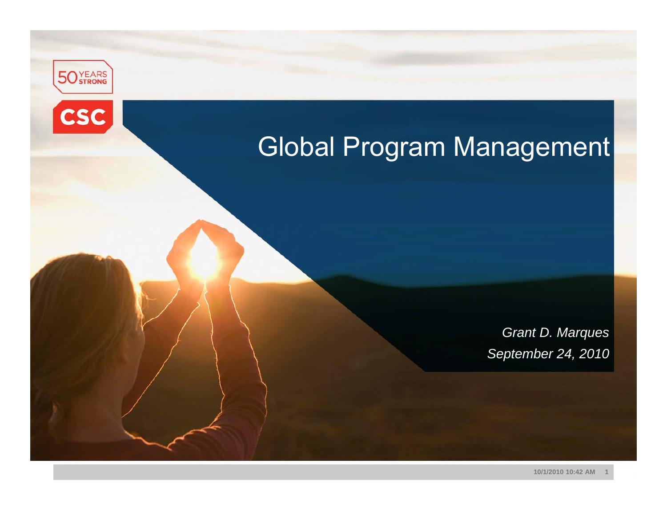



## Global Program Management

*Grant D. Marques September 24, 2010*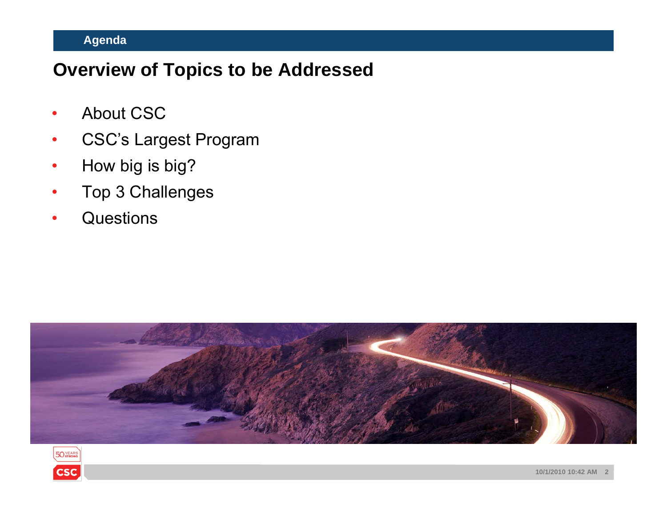#### **Agenda**

## **Overview of Topics to be Addressed**

- •• About CSC
- •CSC's Largest Program
- •How big is big?
- •Top 3 Challenges
- •**Questions**



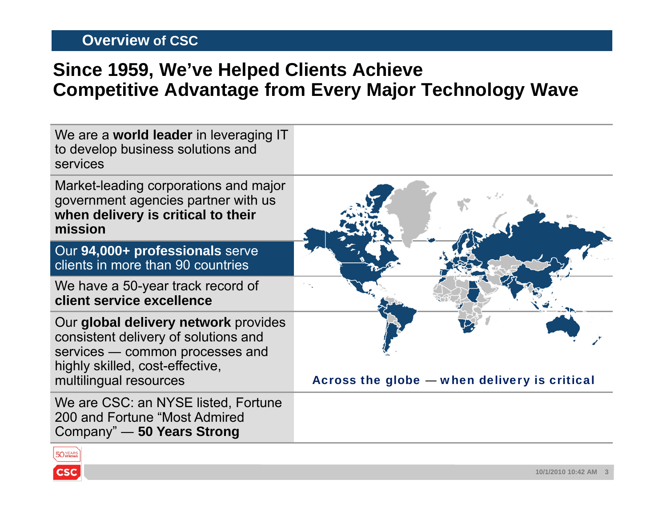#### **Overview of CSC**

200 and Fortune "Most Admired Company" ― **50 Years Strong**

50YEARS

**CSC** 

## **Since 1959, We've Helped Clients Achieve Competitive Advantage from Every Major Technology Wave**

| We are a <b>world leader</b> in leveraging IT<br>to develop business solutions and<br>services                                                                               |                                              |
|------------------------------------------------------------------------------------------------------------------------------------------------------------------------------|----------------------------------------------|
| Market-leading corporations and major<br>government agencies partner with us<br>when delivery is critical to their<br>mission                                                |                                              |
| Our 94,000+ professionals serve<br>clients in more than 90 countries                                                                                                         |                                              |
| We have a 50-year track record of<br>client service excellence                                                                                                               |                                              |
| Our global delivery network provides<br>consistent delivery of solutions and<br>services - common processes and<br>highly skilled, cost-effective,<br>multilingual resources | Across the globe - when delivery is critical |
| We are CSC: an NYSE listed, Fortune                                                                                                                                          |                                              |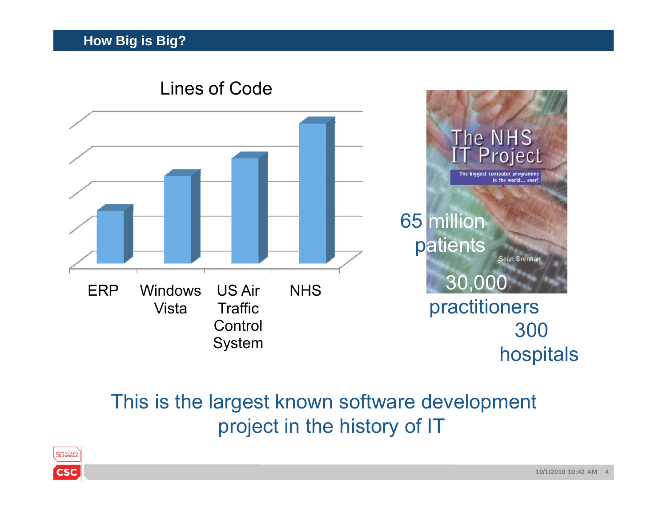

## This is the largest known software development project in the history of IT

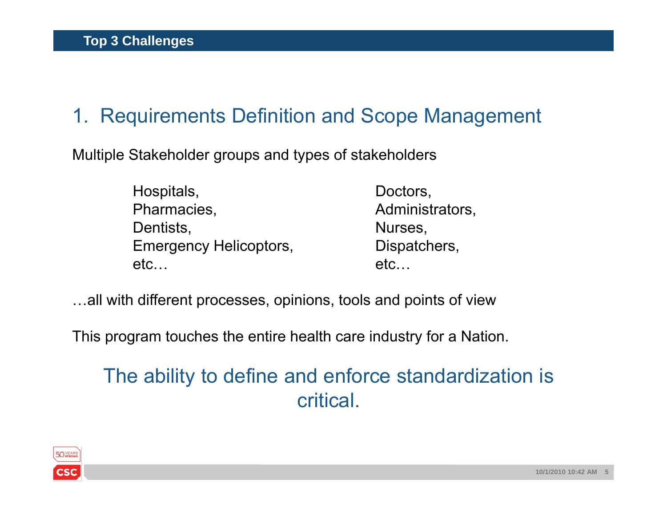## 1. Requirements Definition and Scope Management

Multiple Stakeholder groups and types of stakeholders

- Hospitals, Doctors, Pharmacies, **Administrators**, Dentists, Nurses, Nurses, Nurses, Nurses, Nurses, Nurses, Nurses, Nurses, Nurses, Nurses, Nurses, Nurses, Nurses, Nurses, Nurses, Nurses, Nurses, Nurses, Nurses, Nurses, Nurses, Nurses, Nurses, Nurses, Nurses, Nurses, Nurs Emergency Helicoptors, Emergency Belicoptors, etc…
- etc…
- …all with different processes, opinions, tools and points of view

This program touches the entire health care industry for a Nation.

## The ability to define and enforce standardization is critical.

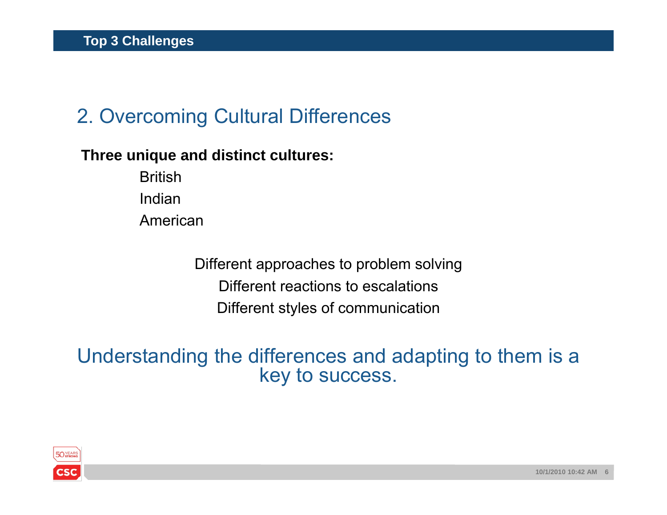## 2. Overcoming Cultural Differences

#### **Three unique and distinct cultures:**

British IndianAmerican

> Different approaches to problem solving Different reactions to escalationsDifferent styles of communication

Understanding the differences and adapting to them is a key to success.

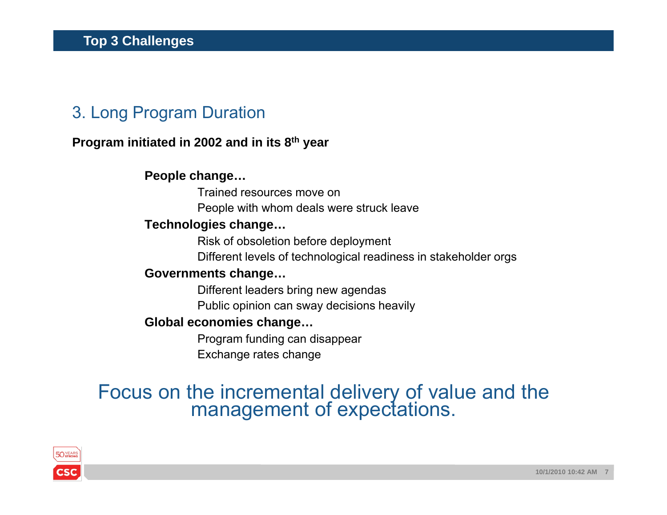## 3. Long Program Duration

#### **Program initiated in 2002 and in its 8th year**

#### **People change…**

Trained resources move onPeople with whom deals were struck leave

#### **Technologies change…**

Risk of obsoletion before deployment

Different levels of technological readiness in stakeholder orgs

#### **Governments change…**

Different leaders bring new agendas

Public opinion can sway decisions heavily

#### **Global economies change…**

Program funding can disappear Exchange rates change

# Focus on the incremental delivery of value and the management of expectations.